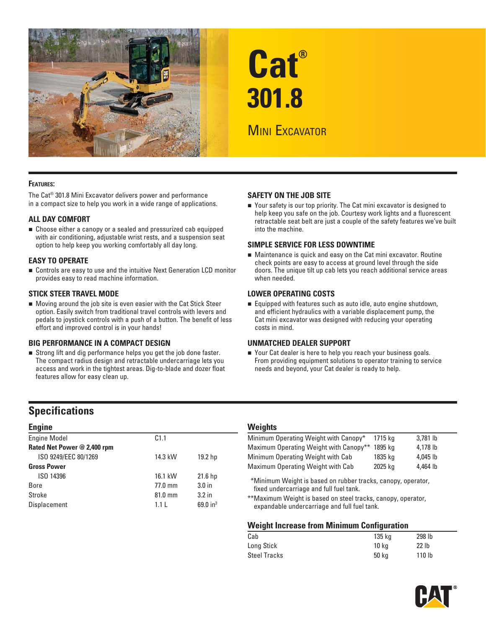

# **Cat® 301.8**

# **MINI EXCAVATOR**

### **FEATURES:**

The Cat® 301.8 Mini Excavator delivers power and performance in a compact size to help you work in a wide range of applications.

### **ALL DAY COMFORT**

 Choose either a canopy or a sealed and pressurized cab equipped with air conditioning, adjustable wrist rests, and a suspension seat option to help keep you working comfortably all day long.

### **EASY TO OPERATE**

 Controls are easy to use and the intuitive Next Generation LCD monitor provides easy to read machine information.

### **STICK STEER TRAVEL MODE**

 Moving around the job site is even easier with the Cat Stick Steer option. Easily switch from traditional travel controls with levers and pedals to joystick controls with a push of a button. The benefit of less effort and improved control is in your hands!

### **BIG PERFORMANCE IN A COMPACT DESIGN**

 Strong lift and dig performance helps you get the job done faster. The compact radius design and retractable undercarriage lets you access and work in the tightest areas. Dig-to-blade and dozer float features allow for easy clean up.

### **SAFETY ON THE JOB SITE**

■ Your safety is our top priority. The Cat mini excavator is designed to help keep you safe on the job. Courtesy work lights and a fluorescent retractable seat belt are just a couple of the safety features we've built into the machine.

### **SIMPLE SERVICE FOR LESS DOWNTIME**

 Maintenance is quick and easy on the Cat mini excavator. Routine check points are easy to access at ground level through the side doors. The unique tilt up cab lets you reach additional service areas when needed.

### **LOWER OPERATING COSTS**

Equipped with features such as auto idle, auto engine shutdown, and efficient hydraulics with a variable displacement pump, the Cat mini excavator was designed with reducing your operating costs in mind.

### **UNMATCHED DEALER SUPPORT**

■ Your Cat dealer is here to help you reach your business goals. From providing equipment solutions to operator training to service needs and beyond, your Cat dealer is ready to help.

### **Specifications**

| <b>Engine</b>               |                   |                    | <b>Weights</b> |
|-----------------------------|-------------------|--------------------|----------------|
| <b>Engine Model</b>         | C1.1              |                    | Minimum C      |
| Rated Net Power @ 2,400 rpm |                   |                    | Maximum (      |
| ISO 9249/EEC 80/1269        | 14.3 kW           | 19.2 hp            | Minimum C      |
| <b>Gross Power</b>          |                   |                    | Maximum (      |
| ISO 14396                   | 16.1 kW           | 21.6 <sub>hp</sub> | *Minimun       |
| <b>Bore</b>                 | $77.0 \text{ mm}$ | 3.0 <sub>in</sub>  | fixed unc      |
| Stroke                      | 81.0 mm           | 3.2 <sub>in</sub>  | **Maximur      |
| <b>Displacement</b>         | 1.1L              | 69.0 $in^3$        | expanda        |

| Minimum Operating Weight with Canopy*  | 1715 ka | 3.781 lb |
|----------------------------------------|---------|----------|
| Maximum Operating Weight with Canopy** | 1895 ka | 4.178 lb |
| Minimum Operating Weight with Cab      | 1835 ka | 4.045 lb |
| Maximum Operating Weight with Cab      | 2025 kg | 4.464 lb |
|                                        |         |          |

\* \*Minimum Weight is based on rubber tracks, canopy, operator, fixed undercarriage and full fuel tank.

\*\* Maximum Weight is based on steel tracks, canopy, operator, expandable undercarriage and full fuel tank.

### **Weight Increase from Minimum Configuration**

| Cab                 | 135 kg | 298 lb            |
|---------------------|--------|-------------------|
| Long Stick          | 10 ka  | 22 <sub>1b</sub>  |
| <b>Steel Tracks</b> | 50 ka  | 110 <sub>lb</sub> |

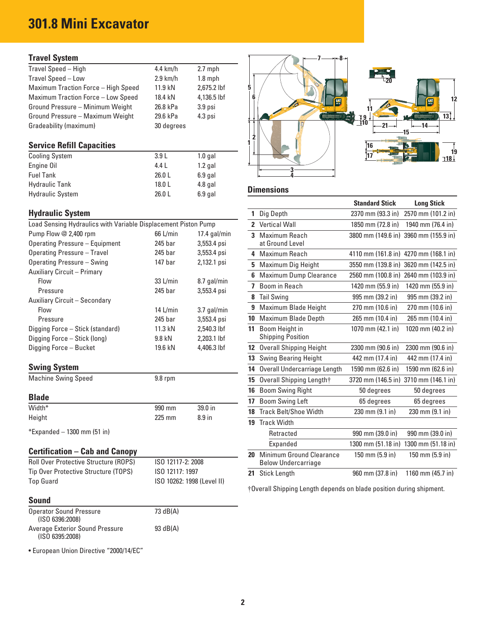# **301.8 Mini Excavator**

### **Travel System**

| Travel Speed - High                 | 4.4 $km/h$ | $2.7$ mph          |  |  |       |
|-------------------------------------|------------|--------------------|--|--|-------|
| Travel Speed - Low                  | $2.9$ km/h | $1.8$ mph          |  |  | $-20$ |
| Maximum Traction Force - High Speed | 11.9 kN    | 2,675.2 lbf        |  |  |       |
| Maximum Traction Force - Low Speed  | 18.4 kN    | 4,136.5 lbf        |  |  |       |
| Ground Pressure - Minimum Weight    | 26.8 kPa   | 3.9 <sub>psi</sub> |  |  |       |
| Ground Pressure - Maximum Weight    | 29.6 kPa   | $4.3$ psi          |  |  |       |
| Gradeability (maximum)              | 30 degrees |                    |  |  |       |

| <b>Cooling System</b>   | 3.9L   | 1.0 gal   |                   |
|-------------------------|--------|-----------|-------------------|
| Engine Oil              | 4.4 L  | 1.2 gal   |                   |
| <b>Fuel Tank</b>        | 26.0L  | $6.9$ gal |                   |
| <b>Hydraulic Tank</b>   | 18.0 L | $4.8$ gal |                   |
| <b>Hydraulic System</b> | 26.0L  | $6.9$ gal | <b>Dimensions</b> |

### **Hydraulic System**

| Load Sensing Hydraulics with Variable Displacement Piston Pump |            |                | 2 Vertical Wall          |
|----------------------------------------------------------------|------------|----------------|--------------------------|
| Pump Flow @ 2,400 rpm                                          | 66 L/min   | $17.4$ gal/min | 3 Maximum Reach          |
| Operating Pressure - Equipment                                 | 245 bar    | 3,553.4 psi    | at Ground Level          |
| Operating Pressure - Travel                                    | 245 bar    | 3,553.4 psi    | 4 Maximum Reach          |
| Operating Pressure - Swing                                     | 147 bar    | 2,132.1 psi    | 5 Maximum Dig Hei        |
| Auxiliary Circuit - Primary                                    |            |                | 6 Maximum Dump C         |
| Flow                                                           | 33 L/min   | 8.7 gal/min    | 7 Boom in Reach          |
| Pressure                                                       | 245 bar    | 3,553.4 psi    |                          |
| Auxiliary Circuit - Secondary                                  |            |                | 8 Tail Swing             |
| <b>Flow</b>                                                    | 14 $L/min$ | 3.7 gal/min    | 9 Maximum Blade H        |
| Pressure                                                       | 245 bar    | 3,553.4 psi    | 10 Maximum Blade D       |
| Digging Force - Stick (standard)                               | 11.3 kN    | 2,540.3 lbf    | 11 Boom Height in        |
| Digging Force - Stick (long)                                   | 9.8 kN     | $2.203.1$ lbf  | <b>Shipping Position</b> |
| Digging Force - Bucket                                         | 19.6 kN    | 4,406.3 lbf    | 12 Overall Shipping H    |
|                                                                |            |                | 13 Swing Bearing He      |

# **Swing System 14 14 3 30 mm (62.6 in ) 14 Machine Swing Speed 14 1690 mm (62.6 in) 1500 mm (62.6 in) 1500 mm (62.6 in) 1500 mm (62.6 in) 1500 mm (62.6 in) 1500 mm (62.6 in) 1500 mm (62.6 in) 1500 mm (62.6 in) 1500 mm (62.6**

|        |          |                   | <b>BOOM SWING LETT</b>          | pp dedrees                        | op degrees                        |
|--------|----------|-------------------|---------------------------------|-----------------------------------|-----------------------------------|
| Width* | 990 mm   | 39.0 in           | <b>18</b> Track Belt/Shoe Width | $230 \text{ mm} (9.1 \text{ in})$ | $230 \text{ mm} (9.1 \text{ in})$ |
| Height | $225$ mm | 8.9 <sub>in</sub> | Track Width                     |                                   |                                   |

### **Certification – Cab and Canopy**

| <b>Roll Over Protective Structure (ROPS)</b> | ISO 12117-2: 2008          | Below Undercarriage |                  |                     |
|----------------------------------------------|----------------------------|---------------------|------------------|---------------------|
| Tip Over Protective Structure (TOPS)         | ISO 12117: 1997            | 21 Stick Lenath     | 960 mm (37.8 in) | 1160 mm $(45.7)$ in |
| Top Guard                                    | ISO 10262: 1998 (Level II) |                     |                  |                     |

### **Sound**

| <b>Operator Sound Pressure</b><br>(ISO 6396:2008)  | 73 dB(A)   |
|----------------------------------------------------|------------|
| Average Exterior Sound Pressure<br>(ISO 6395:2008) | 93 $dB(A)$ |

• European Union Directive "2000/14/EC"



|                                                                |                   |                 |              |                                            | <b>Standard Stick</b> | <b>Long Stick</b>                     |
|----------------------------------------------------------------|-------------------|-----------------|--------------|--------------------------------------------|-----------------------|---------------------------------------|
| <b>Hydraulic System</b>                                        |                   |                 | $\mathbf{1}$ | Dig Depth                                  | 2370 mm (93.3 in)     | 2570 mm (101.2 in)                    |
| Load Sensing Hydraulics with Variable Displacement Piston Pump |                   |                 |              | 2 Vertical Wall                            | 1850 mm (72.8 in)     | 1940 mm (76.4 in)                     |
| Pump Flow @ 2,400 rpm                                          | 66 L/min          | 17.4 $g$ al/min |              | 3 Maximum Reach                            |                       | 3800 mm (149.6 in) 3960 mm (155.9 in) |
| <b>Operating Pressure - Equipment</b>                          | 245 bar           | 3,553.4 psi     |              | at Ground Level                            |                       |                                       |
| <b>Operating Pressure - Travel</b>                             | 245 bar           | 3,553.4 psi     |              | 4 Maximum Reach                            |                       | 4110 mm (161.8 in) 4270 mm (168.1 in) |
| Operating Pressure - Swing                                     | 147 bar           | 2,132.1 psi     |              | 5 Maximum Dig Height                       |                       | 3550 mm (139.8 in) 3620 mm (142.5 in) |
| <b>Auxiliary Circuit - Primary</b>                             |                   |                 |              | 6 Maximum Dump Clearance                   |                       | 2560 mm (100.8 in) 2640 mm (103.9 in) |
| Flow                                                           | $33$ L/min        | 8.7 gal/min     |              | 7 Boom in Reach                            | 1420 mm (55.9 in)     | 1420 mm (55.9 in)                     |
| Pressure                                                       | 245 bar           | 3,553.4 psi     |              | 8 Tail Swing                               | 995 mm (39.2 in)      | 995 mm (39.2 in)                      |
| Auxiliary Circuit - Secondary                                  |                   |                 |              | 9 Maximum Blade Height                     | 270 mm (10.6 in)      | 270 mm (10.6 in)                      |
| Flow                                                           | 14 $L/min$        | 3.7 gal/min     |              | 10 Maximum Blade Depth                     | 265 mm (10.4 in)      | 265 mm (10.4 in)                      |
| Pressure                                                       | 245 bar           | 3,553.4 psi     |              |                                            |                       |                                       |
| Digging Force - Stick (standard)                               | 11.3 kN           | 2,540.3 lbf     | 11           | Boom Height in<br><b>Shipping Position</b> | 1070 mm (42.1 in)     | 1020 mm (40.2 in)                     |
| Digging Force - Stick (long)                                   | 9.8 kN            | 2,203.1 lbf     |              |                                            |                       |                                       |
| Digging Force - Bucket                                         | 19.6 kN           | 4,406.3 lbf     |              | 12 Overall Shipping Height                 | 2300 mm (90.6 in)     | 2300 mm (90.6 in)                     |
|                                                                |                   |                 |              | <b>13</b> Swing Bearing Height             | 442 mm (17.4 in)      | 442 mm (17.4 in)                      |
| <b>Swing System</b>                                            |                   |                 | 14           | Overall Undercarriage Length               | 1590 mm (62.6 in)     | 1590 mm (62.6 in)                     |
| <b>Machine Swing Speed</b>                                     | 9.8 rpm           |                 |              | 15 Overall Shipping Length†                |                       | 3720 mm (146.5 in) 3710 mm (146.1 in) |
|                                                                |                   |                 | 16           | <b>Boom Swing Right</b>                    | 50 degrees            | 50 degrees                            |
| <b>Blade</b>                                                   |                   |                 | 17           | <b>Boom Swing Left</b>                     | 65 degrees            | 65 degrees                            |
| Width*                                                         | 990 mm            | 39.0 in         |              | 18 Track Belt/Shoe Width                   | 230 mm (9.1 in)       | 230 mm (9.1 in)                       |
| Height                                                         | 225 mm            | 8.9 in          | 19           | <b>Track Width</b>                         |                       |                                       |
| *Expanded - 1300 mm (51 in)                                    |                   |                 |              | Retracted                                  | 990 mm (39.0 in)      | 990 mm (39.0 in)                      |
|                                                                |                   |                 |              | Expanded                                   | 1300 mm (51.18 in)    | 1300 mm (51.18 in)                    |
| <b>Certification – Cab and Canopy</b>                          |                   |                 | 20           | Minimum Ground Clearance                   | 150 mm (5.9 in)       | 150 mm (5.9 in)                       |
| Roll Over Protective Structure (ROPS)                          | ISO 12117-2: 2008 |                 |              | <b>Below Undercarriage</b>                 |                       |                                       |
| Tip Over Protective Structure (TOPS)                           | ISO 12117: 1997   |                 | 21           | <b>Stick Lenath</b>                        | 960 mm (37.8 in)      | 1160 mm $(45.7 \text{ in})$           |

† Overall Shipping Length depends on blade position during shipment.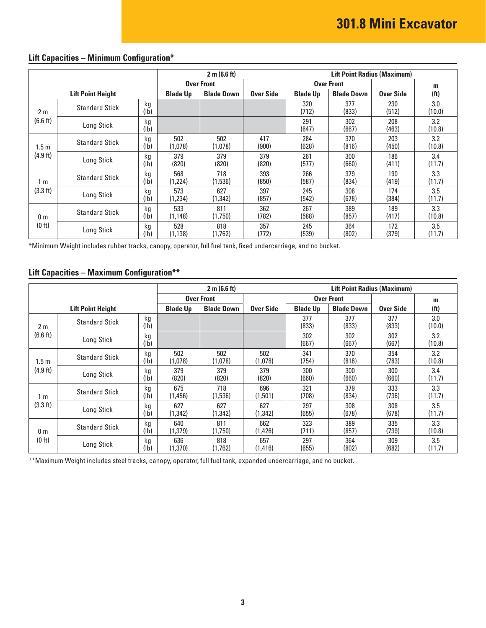|                |                          |                       | 2 m (6.6 ft)<br><b>Lift Point Radius (Maximum)</b> |                   |              |                 |                   |              |                   |
|----------------|--------------------------|-----------------------|----------------------------------------------------|-------------------|--------------|-----------------|-------------------|--------------|-------------------|
|                |                          |                       |                                                    | <b>Over Front</b> |              |                 | <b>Over Front</b> |              | m                 |
|                | <b>Lift Point Height</b> |                       | <b>Blade Up</b>                                    | <b>Blade Down</b> | Over Side    | <b>Blade Up</b> | <b>Blade Down</b> | Over Side    | (f <sub>t</sub> ) |
| 2 <sub>m</sub> | <b>Standard Stick</b>    | kg<br>$(\mathsf{lb})$ |                                                    |                   |              | 320<br>(712)    | 377<br>(833)      | 230<br>(512) | 3.0<br>(10.0)     |
| (6.6 ft)       | Long Stick               | kg<br>$(\mathsf{lb})$ |                                                    |                   |              | 291<br>(647)    | 302<br>(667)      | 208<br>(463) | 3.2<br>(10.8)     |
| 1.5 m          | <b>Standard Stick</b>    | kg<br>$(\mathsf{lb})$ | 502<br>(1,078)                                     | 502<br>(1,078)    | 417<br>(900) | 284<br>(628)    | 370<br>(816)      | 203<br>(450) | 3.2<br>(10.8)     |
| (4.9 ft)       | Long Stick               | kg<br>(lb)            | 379<br>(820)                                       | 379<br>(820)      | 379<br>(820) | 261<br>(577)    | 300<br>(660)      | 186<br>(411) | 3.4<br>(11.7)     |
| 1 m            | <b>Standard Stick</b>    | kg<br>(lb)            | 568<br>(1,224)                                     | 718<br>(1,536)    | 393<br>(850) | 266<br>(587)    | 379<br>(834)      | 190<br>(419) | 3.3<br>(11.7)     |
| (3.3 ft)       | Long Stick               | kg<br>(lb)            | 573<br>(1,234)                                     | 627<br>(1,342)    | 397<br>(857) | 245<br>(542)    | 308<br>(678)      | 174<br>(384) | 3.5<br>(11.7)     |
| 0 <sub>m</sub> | <b>Standard Stick</b>    | kg<br>(lb)            | 533<br>(1.148)                                     | 811<br>(1.750)    | 362<br>(782) | 267<br>(588)    | 389<br>(857)      | 189<br>(417) | 3.3<br>(10.8)     |
| (0 ft)         | Long Stick               | kg<br>$(\mathsf{lb})$ | 528<br>(1, 138)                                    | 818<br>(1,762)    | 357<br>(772) | 245<br>(539)    | 364<br>(802)      | 172<br>(379) | 3.5<br>(11.7)     |

## **Lift Capacities – Minimum Configuration\***

\*Minimum Weight includes rubber tracks, canopy, operator, full fuel tank, fixed undercarriage, and no bucket.

### **Lift Capacities – Maximum Configuration\*\***

|                  |                          |                       | 2 m (6.6 ft)<br><b>Lift Point Radius (Maximum)</b> |                   |                  |                 |                   |              |                   |
|------------------|--------------------------|-----------------------|----------------------------------------------------|-------------------|------------------|-----------------|-------------------|--------------|-------------------|
|                  |                          |                       | <b>Over Front</b>                                  |                   |                  |                 | <b>Over Front</b> |              | m                 |
|                  | <b>Lift Point Height</b> |                       | <b>Blade Up</b>                                    | <b>Blade Down</b> | <b>Over Side</b> | <b>Blade Up</b> | <b>Blade Down</b> | Over Side    | (f <sub>t</sub> ) |
| 2 <sub>m</sub>   | <b>Standard Stick</b>    | kg<br>$(\mathsf{lb})$ |                                                    |                   |                  | 377<br>(833)    | 377<br>(833)      | 377<br>(833) | 3.0<br>(10.0)     |
| (6.6 ft)         | Long Stick               | kg<br>(1b)            |                                                    |                   |                  | 302<br>(667)    | 302<br>(667)      | 302<br>(667) | 3.2<br>(10.8)     |
| 1.5 <sub>m</sub> | <b>Standard Stick</b>    | kg<br>(1b)            | 502<br>(1,078)                                     | 502<br>(1,078)    | 502<br>(1,078)   | 341<br>(754)    | 370<br>(816)      | 354<br>(783) | 3.2<br>(10.8)     |
| (4.9 ft)         | Long Stick               | kg<br>$(\mathsf{lb})$ | 379<br>(820)                                       | 379<br>(820)      | 379<br>(820)     | 300<br>(660)    | 300<br>(660)      | 300<br>(660) | 3.4<br>(11.7)     |
| 1 m              | <b>Standard Stick</b>    | kg<br>(lb)            | 675<br>(1,456)                                     | 718<br>(1,536)    | 696<br>(1,501)   | 321<br>(708)    | 379<br>(834)      | 333<br>(736) | 3.3<br>(11.7)     |
| (3.3 ft)         | Long Stick               | kg<br>(1b)            | 627<br>(1.342)                                     | 627<br>(1,342)    | 627<br>(1,342)   | 297<br>(655)    | 308<br>(678)      | 308<br>(678) | 3.5<br>(11.7)     |
| 0 <sub>m</sub>   | <b>Standard Stick</b>    | kg<br>$(\mathsf{lb})$ | 640<br>(1,379)                                     | 811<br>(1,750)    | 662<br>(1,426)   | 323<br>(711)    | 389<br>(857)      | 335<br>(739) | 3.3<br>(10.8)     |
| (0 ft)           | Long Stick               | kg<br>(1b)            | 636<br>(1,370)                                     | 818<br>(1,762)    | 657<br>(1, 416)  | 297<br>(655)    | 364<br>(802)      | 309<br>(682) | 3.5<br>(11.7)     |

\*\* Maximum Weight includes steel tracks, canopy, operator, full fuel tank, expanded undercarriage, and no bucket.